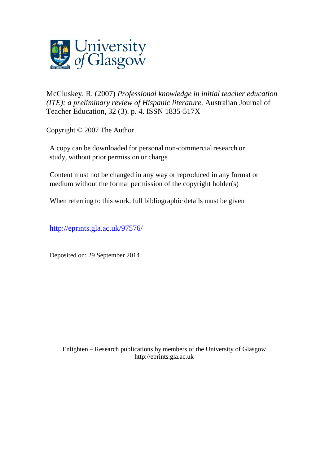

[McCluskey, R.](http://eprints.gla.ac.uk/view/author/11604.html) (2007) *Professional knowledge in initial teacher education (ITE): a preliminary review of Hispanic literature.* [Australian Journal of](http://eprints.gla.ac.uk/view/journal_volume/Australian_Journal_of_Teacher_Education.html)  [Teacher Education,](http://eprints.gla.ac.uk/view/journal_volume/Australian_Journal_of_Teacher_Education.html) 32 (3). p. 4. ISSN 1835-517X

Copyright © 2007 The Author

A copy can be downloaded for personal non-commercial research or study, without prior permission or charge

Content must not be changed in any way or reproduced in any format or medium without the formal permission of the copyright holder(s)

When referring to this work, full bibliographic details must be given

<http://eprints.gla.ac.uk/97576/>

Deposited on: 29 September 2014

Enlighten – Research publications by members of the University of Glasgo[w](http://eprints.gla.ac.uk/) [http://eprints.gla.ac.uk](http://eprints.gla.ac.uk/)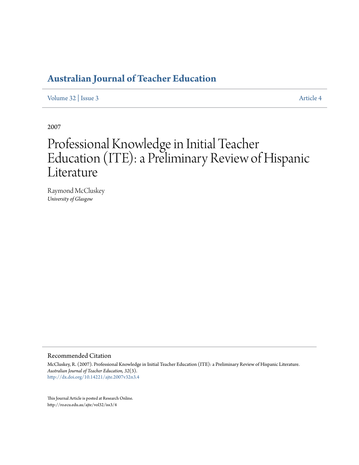# **[Australian Journal of Teacher Education](http://ro.ecu.edu.au/ajte)**

[Volume 32](http://ro.ecu.edu.au/ajte/vol32) | [Issue 3](http://ro.ecu.edu.au/ajte/vol32/iss3) [Article 4](http://ro.ecu.edu.au/ajte/vol32/iss3/4)

2007

# Professional Knowledge in Initial Teacher Education (ITE): a Preliminary Review of Hispanic Literature

Raymond McCluskey *University of Glasgow*

#### Recommended Citation

McCluskey, R. (2007). Professional Knowledge in Initial Teacher Education (ITE): a Preliminary Review of Hispanic Literature. *Australian Journal of Teacher Education, 32*(3). <http://dx.doi.org/10.14221/ajte.2007v32n3.4>

This Journal Article is posted at Research Online. http://ro.ecu.edu.au/ajte/vol32/iss3/4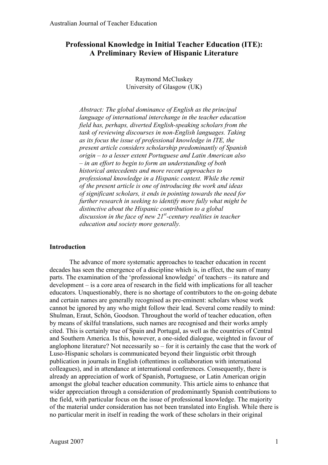# **Professional Knowledge in Initial Teacher Education (ITE): A Preliminary Review of Hispanic Literature**

Raymond McCluskey University of Glasgow (UK)

*Abstract: The global dominance of English as the principal language of international interchange in the teacher education field has, perhaps, diverted English-speaking scholars from the task of reviewing discourses in non-English languages. Taking as its focus the issue of professional knowledge in ITE, the present article considers scholarship predominantly of Spanish origin – to a lesser extent Portuguese and Latin American also – in an effort to begin to form an understanding of both historical antecedents and more recent approaches to professional knowledge in a Hispanic context. While the remit of the present article is one of introducing the work and ideas of significant scholars, it ends in pointing towards the need for further research in seeking to identify more fully what might be distinctive about the Hispanic contribution to a global discussion in the face of new 21st -century realities in teacher education and society more generally.*

# **Introduction**

The advance of more systematic approaches to teacher education in recent decades has seen the emergence of a discipline which is, in effect, the sum of many parts. The examination of the 'professional knowledge' of teachers – its nature and development – is a core area of research in the field with implications for all teacher educators. Unquestionably, there is no shortage of contributors to the on-going debate and certain names are generally recognised as pre-eminent: scholars whose work cannot be ignored by any who might follow their lead. Several come readily to mind: Shulman, Eraut, Schön, Goodson. Throughout the world of teacher education, often by means of skilful translations, such names are recognised and their works amply cited. This is certainly true of Spain and Portugal, as well as the countries of Central and Southern America. Is this, however, a one-sided dialogue, weighted in favour of anglophone literature? Not necessarily so – for it is certainly the case that the work of Luso-Hispanic scholars is communicated beyond their linguistic orbit through publication in journals in English (oftentimes in collaboration with international colleagues), and in attendance at international conferences. Consequently, there is already an appreciation of work of Spanish, Portuguese, or Latin American origin amongst the global teacher education community. This article aims to enhance that wider appreciation through a consideration of predominantly Spanish contributions to the field, with particular focus on the issue of professional knowledge. The majority of the material under consideration has not been translated into English. While there is no particular merit in itself in reading the work of these scholars in their original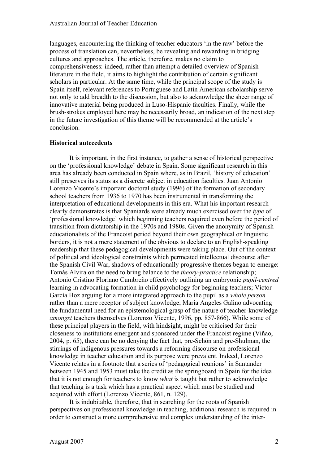languages, encountering the thinking of teacher educators 'in the raw' before the process of translation can, nevertheless, be revealing and rewarding in bridging cultures and approaches. The article, therefore, makes no claim to comprehensiveness: indeed, rather than attempt a detailed overview of Spanish literature in the field, it aims to highlight the contribution of certain significant scholars in particular. At the same time, while the principal scope of the study is Spain itself, relevant references to Portuguese and Latin American scholarship serve not only to add breadth to the discussion, but also to acknowledge the sheer range of innovative material being produced in Luso-Hispanic faculties. Finally, while the brush-strokes employed here may be necessarily broad, an indication of the next step in the future investigation of this theme will be recommended at the article's conclusion.

# **Historical antecedents**

It is important, in the first instance, to gather a sense of historical perspective on the 'professional knowledge' debate in Spain. Some significant research in this area has already been conducted in Spain where, as in Brazil, 'history of education' still preserves its status as a discrete subject in education faculties. Juan Antonio Lorenzo Vicente's important doctoral study (1996) of the formation of secondary school teachers from 1936 to 1970 has been instrumental in transforming the interpretation of educational developments in this era. What his important research clearly demonstrates is that Spaniards were already much exercised over the *type* of 'professional knowledge' which beginning teachers required even before the period of transition from dictatorship in the 1970s and 1980s. Given the anonymity of Spanish educationalists of the Francoist period beyond their own geographical or linguistic borders, it is not a mere statement of the obvious to declare to an English-speaking readership that these pedagogical developments were taking place. Out of the context of political and ideological constraints which permeated intellectual discourse after the Spanish Civil War, shadows of educationally progressive themes began to emerge: Tomás Alvira on the need to bring balance to the *theory-practice* relationship; Antonio Cristino Floriano Cumbreño effectively outlining an embryonic *pupil-centred* learning in advocating formation in child psychology for beginning teachers; Victor García Hoz arguing for a more integrated approach to the pupil as a *whole person* rather than a mere receptor of subject knowledge; María Angeles Galino advocating the fundamental need for an epistemological grasp of the nature of teacher-knowledge *amongst* teachers themselves (Lorenzo Vicente, 1996, pp. 857-866). While some of these principal players in the field, with hindsight, might be criticised for their closeness to institutions emergent and sponsored under the Francoist regime (Viñao, 2004, p. 65), there can be no denying the fact that, pre-Schön and pre-Shulman, the stirrings of indigenous pressures towards a reforming discourse on professional knowledge in teacher education and its purpose were prevalent. Indeed, Lorenzo Vicente relates in a footnote that a series of 'pedagogical reunions' in Santander between 1945 and 1953 must take the credit as the springboard in Spain for the idea that it is not enough for teachers to know *what* is taught but rather to acknowledge that teaching is a task which has a practical aspect which must be studied and acquired with effort (Lorenzo Vicente, 861, n. 129).

It is indubitable, therefore, that in searching for the roots of Spanish perspectives on professional knowledge in teaching, additional research is required in order to construct a more comprehensive and complex understanding of the inter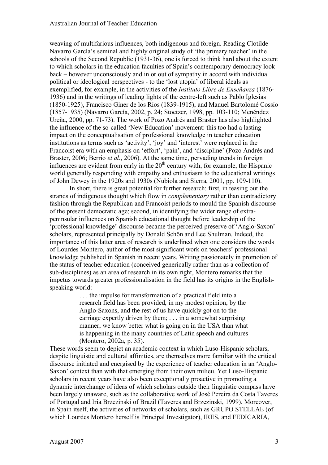weaving of multifarious influences, both indigenous and foreign. Reading Clotilde Navarro García's seminal and highly original study of 'the primary teacher' in the schools of the Second Republic (1931-36), one is forced to think hard about the extent to which scholars in the education faculties of Spain's contemporary democracy look back – however unconsciously and in or out of sympathy in accord with individual political or ideological perspectives - to the 'lost utopia' of liberal ideals as exemplified, for example, in the activities of the *Instituto Libre de Enseñanza* (1876- 1936) and in the writings of leading lights of the centre-left such as Pablo Iglesias (1850-1925), Francisco Giner de los Ríos (1839-1915), and Manuel Bartolomé Cossío (1857-1935) (Navarro García, 2002, p. 24; Stoetzer, 1998, pp. 103-110; Menéndez Ureña, 2000, pp. 71-73). The work of Pozo Andrés and Braster has also highlighted the influence of the so-called 'New Education' movement: this too had a lasting impact on the conceptualisation of professional knowledge in teacher education institutions as terms such as 'activity', 'joy' and 'interest' were replaced in the Francoist era with an emphasis on 'effort', 'pain', and 'discipline' (Pozo Andrés and Braster, 2006; Berrio *et al.*, 2006). At the same time, pervading trends in foreign influences are evident from early in the  $20<sup>th</sup>$  century with, for example, the Hispanic world generally responding with empathy and enthusiasm to the educational writings of John Dewey in the 1920s and 1930s (Nubiola and Sierra, 2001, pp. 109-110).

In short, there is great potential for further research: first, in teasing out the strands of indigenous thought which flow in *complementary* rather than contradictory fashion through the Republican and Francoist periods to mould the Spanish discourse of the present democratic age; second, in identifying the wider range of extrapeninsular influences on Spanish educational thought before leadership of the 'professional knowledge' discourse became the perceived preserve of 'Anglo-Saxon' scholars, represented principally by Donald Schön and Lee Shulman. Indeed, the importance of this latter area of research is underlined when one considers the words of Lourdes Montero, author of the most significant work on teachers' professional knowledge published in Spanish in recent years. Writing passionately in promotion of the status of teacher education (conceived generically rather than as a collection of sub-disciplines) as an area of research in its own right, Montero remarks that the impetus towards greater professionalisation in the field has its origins in the Englishspeaking world:

> . . . the impulse for transformation of a practical field into a research field has been provided, in my modest opinion, by the Anglo-Saxons, and the rest of us have quickly got on to the carriage expertly driven by them; . . . in a somewhat surprising manner, we know better what is going on in the USA than what is happening in the many countries of Latin speech and cultures (Montero, 2002a, p. 35).

These words seem to depict an academic context in which Luso-Hispanic scholars, despite linguistic and cultural affinities, are themselves more familiar with the critical discourse initiated and energised by the experience of teacher education in an 'Anglo-Saxon' context than with that emerging from their own milieu. Yet Luso-Hispanic scholars in recent years have also been exceptionally proactive in promoting a dynamic interchange of ideas of which scholars outside their linguistic compass have been largely unaware, such as the collaborative work of José Pereira da Costa Taveres of Portugal and Iria Brzezinski of Brazil (Taveres and Brzezinski, 1999). Moreover, in Spain itself, the activities of networks of scholars, such as GRUPO STELLAE (of which Lourdes Montero herself is Principal Investigator), IRES, and FEDICARIA,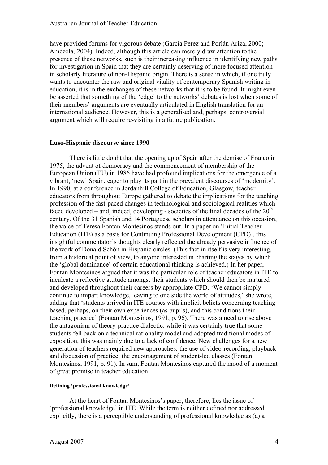have provided forums for vigorous debate (García Perez and Porlán Ariza, 2000; Amézola, 2004). Indeed, although this article can merely draw attention to the presence of these networks, such is their increasing influence in identifying new paths for investigation in Spain that they are certainly deserving of more focused attention in scholarly literature of non-Hispanic origin. There is a sense in which, if one truly wants to encounter the raw and original vitality of contemporary Spanish writing in education, it is in the exchanges of these networks that it is to be found. It might even be asserted that something of the 'edge' to the networks' debates is lost when some of their members' arguments are eventually articulated in English translation for an international audience. However, this is a generalised and, perhaps, controversial argument which will require re-visiting in a future publication.

#### **Luso-Hispanic discourse since 1990**

There is little doubt that the opening up of Spain after the demise of Franco in 1975, the advent of democracy and the commencement of membership of the European Union (EU) in 1986 have had profound implications for the emergence of a vibrant, 'new' Spain, eager to play its part in the prevalent discourses of 'modernity'. In 1990, at a conference in Jordanhill College of Education, Glasgow, teacher educators from throughout Europe gathered to debate the implications for the teaching profession of the fast-paced changes in technological and sociological realities which faced developed – and, indeed, developing - societies of the final decades of the  $20<sup>th</sup>$ century. Of the 31 Spanish and 14 Portuguese scholars in attendance on this occasion, the voice of Teresa Fontan Montesinos stands out. In a paper on 'Initial Teacher Education (ITE) as a basis for Continuing Professional Development (CPD)', this insightful commentator's thoughts clearly reflected the already pervasive influence of the work of Donald Schön in Hispanic circles. (This fact in itself is very interesting, from a historical point of view, to anyone interested in charting the stages by which the 'global dominance' of certain educational thinking is achieved.) In her paper, Fontan Montesinos argued that it was the particular role of teacher educators in ITE to inculcate a reflective attitude amongst their students which should then be nurtured and developed throughout their careers by appropriate CPD. 'We cannot simply continue to impart knowledge, leaving to one side the world of attitudes,' she wrote, adding that 'students arrived in ITE courses with implicit beliefs concerning teaching based, perhaps, on their own experiences (as pupils), and this conditions their teaching practice' (Fontan Montesinos, 1991, p. 96). There was a need to rise above the antagonism of theory-practice dialectic: while it was certainly true that some students fell back on a technical rationality model and adopted traditional modes of exposition, this was mainly due to a lack of confidence. New challenges for a new generation of teachers required new approaches: the use of video-recording, playback and discussion of practice; the encouragement of student-led classes (Fontan Montesinos, 1991, p. 91). In sum, Fontan Montesinos captured the mood of a moment of great promise in teacher education.

#### **Defining 'professional knowledge'**

At the heart of Fontan Montesinos's paper, therefore, lies the issue of 'professional knowledge' in ITE. While the term is neither defined nor addressed explicitly, there is a perceptible understanding of professional knowledge as (a) a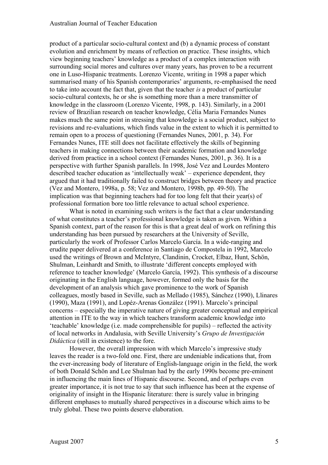product of a particular socio-cultural context and (b) a dynamic process of constant evolution and enrichment by means of reflection on practice. These insights, which view beginning teachers' knowledge as a product of a complex interaction with surrounding social mores and cultures over many years, has proven to be a recurrent one in Luso-Hispanic treatments. Lorenzo Vicente, writing in 1998 a paper which summarised many of his Spanish contemporaries' arguments, re-emphasised the need to take into account the fact that, given that the teacher *is* a product of particular socio-cultural contexts, he or she is something more than a mere transmitter of knowledge in the classroom (Lorenzo Vicente, 1998, p. 143). Similarly, in a 2001 review of Brazilian research on teacher knowledge, Célia Maria Fernandes Nunes makes much the same point in stressing that knowledge is a social product, subject to revisions and re-evaluations, which finds value in the extent to which it is permitted to remain open to a process of questioning (Fernandes Nunes, 2001, p. 34). For Fernandes Nunes, ITE still does not facilitate effectively the skills of beginning teachers in making connections between their academic formation and knowledge derived from practice in a school context (Fernandes Nunes, 2001, p. 36). It is a perspective with further Spanish parallels. In 1998, José Vez and Lourdes Montero described teacher education as 'intellectually weak' – experience dependent, they argued that it had traditionally failed to construct bridges between theory and practice (Vez and Montero, 1998a, p. 58; Vez and Montero, 1998b, pp. 49-50). The implication was that beginning teachers had for too long felt that their year(s) of professional formation bore too little relevance to actual school experience.

What is noted in examining such writers is the fact that a clear understanding of what constitutes a teacher's professional knowledge is taken as given. Within a Spanish context, part of the reason for this is that a great deal of work on refining this understanding has been pursued by researchers at the University of Seville, particularly the work of Professor Carlos Marcelo García. In a wide-ranging and erudite paper delivered at a conference in Santiago de Compostela in 1992, Marcelo used the writings of Brown and McIntyre, Clandinin, Crocket, Elbaz, Hunt, Schön, Shulman, Leinhardt and Smith, to illustrate 'different concepts employed with reference to teacher knowledge' (Marcelo García, 1992). This synthesis of a discourse originating in the English language, however, formed only the basis for the development of an analysis which gave prominence to the work of Spanish colleagues, mostly based in Seville, such as Mellado (1985), Sánchez (1990), Llinares (1990), Maza (1991), and Lopéz-Arenas González (1991). Marcelo's principal concerns – especially the imperative nature of giving greater conceptual and empirical attention in ITE to the way in which teachers transform academic knowledge into 'teachable' knowledge (i.e. made comprehensible for pupils) – reflected the activity of local networks in Andalusia, with Seville University's *Grupo de Investigación Didáctica* (still in existence) to the fore.

However, the overall impression with which Marcelo's impressive study leaves the reader is a two-fold one. First, there are undeniable indications that, from the ever-increasing body of literature of English-language origin in the field, the work of both Donald Schön and Lee Shulman had by the early 1990s become pre-eminent in influencing the main lines of Hispanic discourse. Second, and of perhaps even greater importance, it is not true to say that such influence has been at the expense of originality of insight in the Hispanic literature: there is surely value in bringing different emphases to mutually shared perspectives in a discourse which aims to be truly global. These two points deserve elaboration.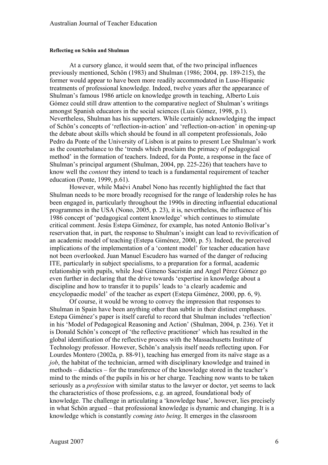#### **Reflecting on Schön and Shulman**

At a cursory glance, it would seem that, of the two principal influences previously mentioned, Schön (1983) and Shulman (1986; 2004, pp. 189-215), the former would appear to have been more readily accommodated in Luso-Hispanic treatments of professional knowledge. Indeed, twelve years after the appearance of Shulman's famous 1986 article on knowledge growth in teaching, Alberto Luis Gómez could still draw attention to the comparative neglect of Shulman's writings amongst Spanish educators in the social sciences (Luis Gómez, 1998, p.1). Nevertheless, Shulman has his supporters. While certainly acknowledging the impact of Schön's concepts of 'reflection-in-action' and 'reflection-on-action' in opening-up the debate about skills which should be found in all competent professionals, João Pedro da Ponte of the University of Lisbon is at pains to present Lee Shulman's work as the counterbalance to the 'trends which proclaim the primacy of pedagogical method' in the formation of teachers. Indeed, for da Ponte, a response in the face of Shulman's principal argument (Shulman, 2004, pp. 225-226) that teachers have to know well the *content* they intend to teach is a fundamental requirement of teacher education (Ponte, 1999, p.61).

However, while Maévi Anabel Nono has recently highlighted the fact that Shulman needs to be more broadly recognised for the range of leadership roles he has been engaged in, particularly throughout the 1990s in directing influential educational programmes in the USA (Nono, 2005, p. 23), it is, nevertheless, the influence of his 1986 concept of 'pedagogical content knowledge' which continues to stimulate critical comment. Jesús Estepa Giménez, for example, has noted Antonio Bolívar's reservation that, in part, the response to Shulman's insight can lead to revivification of an academic model of teaching (Estepa Giménez, 2000, p. 5). Indeed, the perceived implications of the implementation of a 'content model' for teacher education have not been overlooked. Juan Manuel Escudero has warned of the danger of reducing ITE, particularly in subject specialisms, to a preparation for a formal, academic relationship with pupils, while José Gimeno Sacristán and Angel Pérez Gómez go even further in declaring that the drive towards 'expertise in knowledge about a discipline and how to transfer it to pupils' leads to 'a clearly academic and encyclopaedic model' of the teacher as expert (Estepa Giménez, 2000, pp. 6, 9).

Of course, it would be wrong to convey the impression that responses to Shulman in Spain have been anything other than subtle in their distinct emphases. Estepa Giménez's paper is itself careful to record that Shulman includes 'reflection' in his 'Model of Pedagogical Reasoning and Action' (Shulman, 2004, p. 236). Yet it is Donald Schön's concept of 'the reflective practitioner' which has resulted in the global identification of the reflective process with the Massachusetts Institute of Technology professor. However, Schön's analysis itself needs reflecting upon. For Lourdes Montero (2002a, p. 88-91), teaching has emerged from its naïve stage as a *job*, the habitat of the technician, armed with disciplinary knowledge and trained in methods – didactics – for the transference of the knowledge stored in the teacher's mind to the minds of the pupils in his or her charge. Teaching now wants to be taken seriously as a *profession* with similar status to the lawyer or doctor, yet seems to lack the characteristics of those professions, e.g. an agreed, foundational body of knowledge. The challenge in articulating a 'knowledge base', however, lies precisely in what Schön argued – that professional knowledge is dynamic and changing. It is a knowledge which is constantly *coming into being*. It emerges in the classroom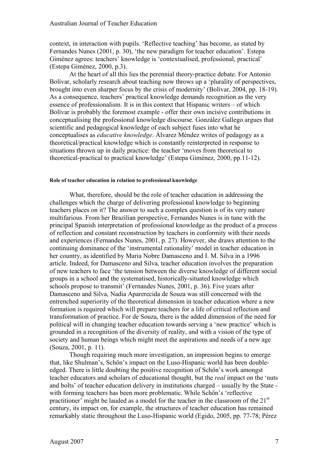context, in interaction with pupils. 'Reflective teaching' has become, as stated by Fernandes Nunes (2001, p. 30), 'the new paradigm for teacher education'. Estepa Giménez agrees: teachers' knowledge is 'contextualised, professional, practical' (Estepa Giménez, 2000, p.3).

At the heart of all this lies the perennial theory-practice debate. For Antonio Bolívar, scholarly research about teaching now throws up a 'plurality of perspectives, brought into even sharper focus by the crisis of modernity' (Bolívar, 2004, pp. 18-19). As a consequence, teachers' practical knowledge demands recognition as the very essence of professionalism. It is in this context that Hispanic writers – of which Bolívar is probably the foremost example - offer their own incisive contributions in conceptualising the professional knowledge discourse. González Gallego argues that scientific and pedagogical knowledge of each subject fuses into what he conceptualises as *educative knowledge*. Álvarez Méndez writes of pedagogy as a theoretical/practical knowledge which is constantly reinterpreted in response to situations thrown up in daily practice: the teacher 'moves from theoretical to theoretical-practical to practical knowledge' (Estepa Giménez, 2000, pp.11-12).

#### **Role of teacher education in relation to professional knowledge**

What, therefore, should be the role of teacher education in addressing the challenges which the charge of delivering professional knowledge to beginning teachers places on it? The answer to such a complex question is of its very nature multifarious. From her Brazilian perspective, Fernandes Nunes is in tune with the principal Spanish interpretation of professional knowledge as the product of a process of reflection and constant reconstruction by teachers in conformity with their needs and experiences (Fernandes Nunes, 2001, p. 27). However, she draws attention to the continuing dominance of the 'instrumental rationality' model in teacher education in her country, as identified by Maria Nobre Damasceno and I. M. Silva in a 1996 article. Indeed, for Damasceno and Silva, teacher education involves the preparation of new teachers to face 'the tension between the diverse knowledge of different social groups in a school and the systematised, historically-situated knowledge which schools propose to transmit' (Fernandes Nunes, 2001, p. 36). Five years after Damasceno and Silva, Nadia Aparerecida de Souza was still concerned with the entrenched superiority of the theoretical dimension in teacher education where a new formation is required which will prepare teachers for a life of critical reflection and transformation of practice. For de Souza, there is the added dimension of the need for political will in changing teacher education towards serving a 'new practice' which is grounded in a recognition of the diversity of reality, and with a vision of the type of society and human beings which might meet the aspirations and needs of a new age (Souza, 2001, p. 11).

Though requiring much more investigation, an impression begins to emerge that, like Shulman's, Schön's impact on the Luso-Hispanic world has been doubleedged. There is little doubting the positive recognition of Schön's work amongst teacher educators and scholars of educational thought, but the *real* impact on the 'nuts and bolts' of teacher education delivery in institutions charged – usually by the State with forming teachers has been more problematic. While Schön's 'reflective practitioner' might be lauded as a model for the teacher in the classroom of the  $21<sup>st</sup>$ century, its impact on, for example, the structures of teacher education has remained remarkably static throughout the Luso-Hispanic world (Egido, 2005, pp. 77-78; Pérez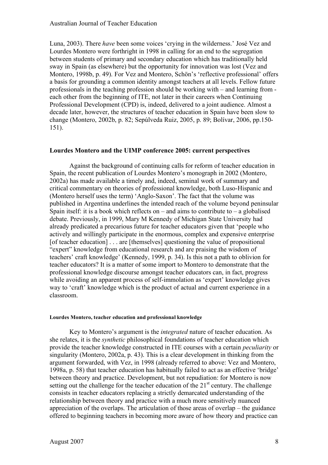Luna, 2003). There *have* been some voices 'crying in the wilderness.' José Vez and Lourdes Montero were forthright in 1998 in calling for an end to the segregation between students of primary and secondary education which has traditionally held sway in Spain (as elsewhere) but the opportunity for innovation was lost (Vez and Montero, 1998b, p. 49). For Vez and Montero, Schön's 'reflective professional' offers a basis for grounding a common identity amongst teachers at all levels. Fellow future professionals in the teaching profession should be working with – and learning from each other from the beginning of ITE, not later in their careers when Continuing Professional Development (CPD) is, indeed, delivered to a joint audience. Almost a decade later, however, the structures of teacher education in Spain have been slow to change (Montero, 2002b, p. 82; Sepúlveda Ruiz, 2005, p. 89; Bolívar, 2006, pp.150- 151).

# **Lourdes Montero and the UIMP conference 2005: current perspectives**

Against the background of continuing calls for reform of teacher education in Spain, the recent publication of Lourdes Montero's monograph in 2002 (Montero, 2002a) has made available a timely and, indeed, seminal work of summary and critical commentary on theories of professional knowledge, both Luso-Hispanic and (Montero herself uses the term) 'Anglo-Saxon'. The fact that the volume was published in Argentina underlines the intended reach of the volume beyond peninsular Spain itself: it is a book which reflects on – and aims to contribute to – a globalised debate. Previously, in 1999, Mary M Kennedy of Michigan State University had already predicated a precarious future for teacher educators given that 'people who actively and willingly participate in the enormous, complex and expensive enterprise [of teacher education] . . . are [themselves] questioning the value of propositional "expert" knowledge from educational research and are praising the wisdom of teachers' craft knowledge' (Kennedy, 1999, p. 34). Is this not a path to oblivion for teacher educators? It is a matter of some import to Montero to demonstrate that the professional knowledge discourse amongst teacher educators can, in fact, progress while avoiding an apparent process of self-immolation as 'expert' knowledge gives way to 'craft' knowledge which is the product of actual and current experience in a classroom.

#### **Lourdes Montero, teacher education and professional knowledge**

Key to Montero's argument is the *integrated* nature of teacher education. As she relates, it is the *synthetic* philosophical foundations of teacher education which provide the teacher knowledge constructed in ITE courses with a certain *peculiarity* or singularity (Montero, 2002a, p. 43). This is a clear development in thinking from the argument forwarded, with Vez, in 1998 (already referred to above: Vez and Montero, 1998a, p. 58) that teacher education has habitually failed to act as an effective 'bridge' between theory and practice. Development, but not repudiation: for Montero is now setting out the challenge for the teacher education of the 21<sup>st</sup> century. The challenge consists in teacher educators replacing a strictly demarcated understanding of the relationship between theory and practice with a much more sensitively nuanced appreciation of the overlaps. The articulation of those areas of overlap – the guidance offered to beginning teachers in becoming more aware of how theory and practice can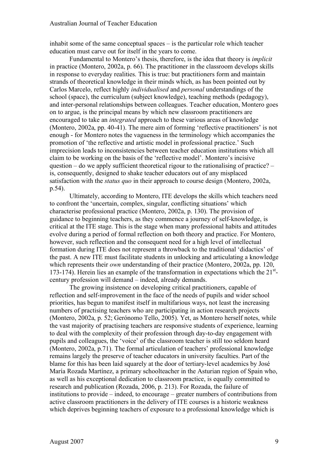inhabit some of the same conceptual spaces – is the particular role which teacher education must carve out for itself in the years to come.

Fundamental to Montero's thesis, therefore, is the idea that theory is *implicit* in practice (Montero, 2002a, p. 66). The practitioner in the classroom develops skills in response to everyday realities. This is true: but practitioners form and maintain strands of theoretical knowledge in their minds which, as has been pointed out by Carlos Marcelo, reflect highly *individualised* and *personal* understandings of the school (space), the curriculum (subject knowledge), teaching methods (pedagogy), and inter-personal relationships between colleagues. Teacher education, Montero goes on to argue, is the principal means by which new classroom practitioners are encouraged to take an *integrated* approach to these various areas of knowledge (Montero, 2002a, pp. 40-41). The mere aim of forming 'reflective practitioners' is not enough - for Montero notes the vagueness in the terminology which accompanies the promotion of 'the reflective and artistic model in professional practice.' Such imprecision leads to inconsistencies between teacher education institutions which all claim to be working on the basis of the 'reflective model'. Montero's incisive question – do we apply sufficient theoretical rigour to the rationalising of practice?  $$ is, consequently, designed to shake teacher educators out of any misplaced satisfaction with the *status quo* in their approach to course design (Montero, 2002a, p.54).

Ultimately, according to Montero, ITE develops the skills which teachers need to confront the 'uncertain, complex, singular, conflicting situations' which characterise professional practice (Montero, 2002a, p. 130). The provision of guidance to beginning teachers, as they commence a journey of self-knowledge, is critical at the ITE stage. This is the stage when many professional habits and attitudes evolve during a period of formal reflection on both theory and practice. For Montero, however, such reflection and the consequent need for a high level of intellectual formation during ITE does not represent a throwback to the traditional 'didactics' of the past. A new ITE must facilitate students in unlocking and articulating a knowledge which represents their *own* understanding of their practice (Montero, 2002a, pp. 120, 173-174). Herein lies an example of the transformation in expectations which the 21<sup>st</sup>century profession will demand – indeed, already demands.

The growing insistence on developing critical practitioners, capable of reflection and self-improvement in the face of the needs of pupils and wider school priorities, has begun to manifest itself in multifarious ways, not least the increasing numbers of practising teachers who are participating in action research projects (Montero, 2002a, p. 52; Gerónomo Tello, 2005). Yet, as Montero herself notes, while the vast majority of practising teachers are responsive students of experience, learning to deal with the complexity of their profession through day-to-day engagement with pupils and colleagues, the 'voice' of the classroom teacher is still too seldom heard (Montero, 2002a, p.71). The formal articulation of teachers' professional knowledge remains largely the preserve of teacher educators in university faculties. Part of the blame for this has been laid squarely at the door of tertiary-level academics by José María Rozada Martínez, a primary schoolteacher in the Asturian region of Spain who, as well as his exceptional dedication to classroom practice, is equally committed to research and publication (Rozada, 2006, p. 213). For Rozada, the failure of institutions to provide – indeed, to encourage – greater numbers of contributions from active classroom practitioners in the delivery of ITE courses is a historic weakness which deprives beginning teachers of exposure to a professional knowledge which is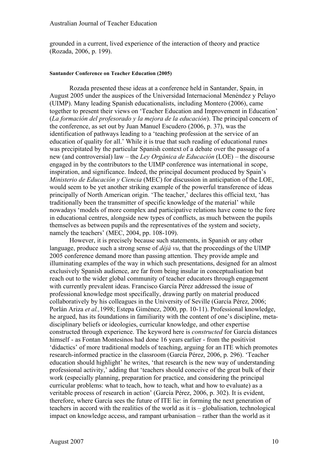grounded in a current, lived experience of the interaction of theory and practice (Rozada, 2006, p. 199).

#### **Santander Conference on Teacher Education (2005)**

Rozada presented these ideas at a conference held in Santander, Spain, in August 2005 under the auspices of the Universidad Internacional Menéndez y Pelayo (UIMP). Many leading Spanish educationalists, including Montero (2006), came together to present their views on 'Teacher Education and Improvement in Education' (*La formación del profesorado y la mejora de la educación*). The principal concern of the conference, as set out by Juan Manuel Escudero (2006, p. 37), was the identification of pathways leading to a 'teaching profession at the service of an education of quality for all.' While it is true that such reading of educational runes was precipitated by the particular Spanish context of a debate over the passage of a new (and controversial) law – the *Ley Orgánica de Educación* (LOE) – the discourse engaged in by the contributors to the UIMP conference was international in scope, inspiration, and significance. Indeed, the principal document produced by Spain's *Ministerio de Educación y Ciencia* (MEC) for discussion in anticipation of the LOE, would seem to be yet another striking example of the powerful transference of ideas principally of North American origin. 'The teacher,' declares this official text, 'has traditionally been the transmitter of specific knowledge of the material' while nowadays 'models of more complex and participative relations have come to the fore in educational centres, alongside new types of conflicts, as much between the pupils themselves as between pupils and the representatives of the system and society, namely the teachers' (MEC, 2004, pp. 108-109).

However, it is precisely because such statements, in Spanish or any other language, produce such a strong sense of *déjà vu*, that the proceedings of the UIMP 2005 conference demand more than passing attention. They provide ample and illuminating examples of the way in which such presentations, designed for an almost exclusively Spanish audience, are far from being insular in conceptualisation but reach out to the wider global community of teacher educators through engagement with currently prevalent ideas. Francisco García Pérez addressed the issue of professional knowledge most specifically, drawing partly on material produced collaboratively by his colleagues in the University of Seville (García Pérez, 2006; Porlán Ariza *et al.,*1998; Estepa Giménez, 2000, pp. 10-11). Professional knowledge, he argued, has its foundations in familiarity with the content of one's discipline, metadisciplinary beliefs or ideologies, curricular knowledge, and other expertise constructed through experience. The keyword here is *constructed* for García distances himself - as Fontan Montesinos had done 16 years earlier - from the positivist 'didactics' of more traditional models of teaching, arguing for an ITE which promotes research-informed practice in the classroom (García Pérez, 2006, p. 296). 'Teacher education should highlight' he writes, 'that research is the new way of understanding professional activity,' adding that 'teachers should conceive of the great bulk of their work (especially planning, preparation for practice, and considering the principal curricular problems: what to teach, how to teach, what and how to evaluate) as a veritable process of research in action' (García Pérez, 2006, p. 302). It is evident, therefore, where García sees the future of ITE lie: in forming the next generation of teachers in accord with the realities of the world as it is – globalisation, technological impact on knowledge access, and rampant urbanisation – rather than the world as it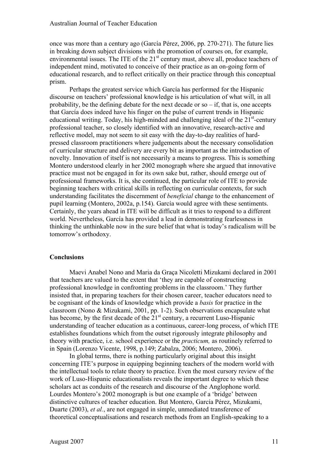once was more than a century ago (García Pérez, 2006, pp. 270-271). The future lies in breaking down subject divisions with the promotion of courses on, for example, environmental issues. The ITE of the 21<sup>st</sup> century must, above all, produce teachers of independent mind, motivated to conceive of their practice as an on-going form of educational research, and to reflect critically on their practice through this conceptual prism.

Perhaps the greatest service which García has performed for the Hispanic discourse on teachers' professional knowledge is his articulation of what will, in all probability, be the defining debate for the next decade or so  $-$  if, that is, one accepts that García does indeed have his finger on the pulse of current trends in Hispanic educational writing. Today, his high-minded and challenging ideal of the  $21<sup>st</sup>$ -century professional teacher, so closely identified with an innovative, research-active and reflective model, may not seem to sit easy with the day-to-day realities of hardpressed classroom practitioners where judgements about the necessary consolidation of curricular structure and delivery are every bit as important as the introduction of novelty. Innovation of itself is not necessarily a means to progress. This is something Montero understood clearly in her 2002 monograph where she argued that innovative practice must not be engaged in for its own sake but, rather, should emerge out of professional frameworks. It is, she continued, the particular role of ITE to provide beginning teachers with critical skills in reflecting on curricular contexts, for such understanding facilitates the discernment of *beneficial* change to the enhancement of pupil learning (Montero, 2002a, p.154). García would agree with these sentiments. Certainly, the years ahead in ITE will be difficult as it tries to respond to a different world. Nevertheless, García has provided a lead in demonstrating fearlessness in thinking the unthinkable now in the sure belief that what is today's radicalism will be tomorrow's orthodoxy.

# **Conclusions**

Maevi Anabel Nono and Maria da Graça Nicoletti Mizukami declared in 2001 that teachers are valued to the extent that 'they are capable of constructing professional knowledge in confronting problems in the classroom.' They further insisted that, in preparing teachers for their chosen career, teacher educators need to be cognisant of the kinds of knowledge which provide a *basis* for practice in the classroom (Nono & Mizukami, 2001, pp. 1-2). Such observations encapsulate what has become, by the first decade of the  $21<sup>st</sup>$  century, a recurrent Luso-Hispanic understanding of teacher education as a continuous, career-long process, of which ITE establishes foundations which from the outset rigorously integrate philosophy and theory with practice, i.e. school experience or the *practicum,* as routinely referred to in Spain (Lorenzo Vicente, 1998, p.149; Zabalza, 2006; Montero, 2006).

In global terms, there is nothing particularly original about this insight concerning ITE's purpose in equipping beginning teachers of the modern world with the intellectual tools to relate theory to practice. Even the most cursory review of the work of Luso-Hispanic educationalists reveals the important degree to which these scholars act as conduits of the research and discourse of the Anglophone world. Lourdes Montero's 2002 monograph is but one example of a 'bridge' between distinctive cultures of teacher education. But Montero, García Pérez, Mizukami, Duarte (2003), *et al.*, are not engaged in simple, unmediated transference of theoretical conceptualisations and research methods from an English-speaking to a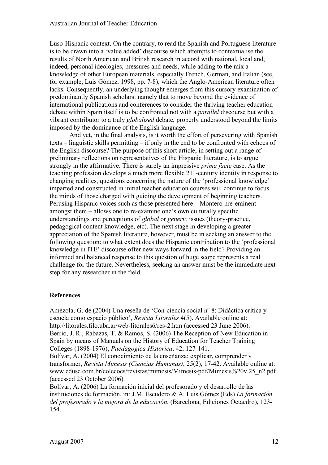Luso-Hispanic context. On the contrary, to read the Spanish and Portuguese literature is to be drawn into a 'value added' discourse which attempts to contextualise the results of North American and British research in accord with national, local and, indeed, personal ideologies, pressures and needs, while adding to the mix a knowledge of other European materials, especially French, German, and Italian (see, for example, Luis Gómez, 1998, pp. 7-8), which the Anglo-American literature often lacks. Consequently, an underlying thought emerges from this cursory examination of predominantly Spanish scholars: namely that to move beyond the evidence of international publications and conferences to consider the thriving teacher education debate within Spain itself is to be confronted not with a *parallel* discourse but with a vibrant contributor to a truly *globalised* debate, properly understood beyond the limits imposed by the dominance of the English language.

And yet, in the final analysis, is it worth the effort of persevering with Spanish texts – linguistic skills permitting – if only in the end to be confronted with echoes of the English discourse? The purpose of this short article, in setting out a range of preliminary reflections on representatives of the Hispanic literature, is to argue strongly in the affirmative. There is surely an impressive *prima facie* case. As the teaching profession develops a much more flexible 21<sup>st</sup>-century identity in response to changing realities, questions concerning the nature of the 'professional knowledge' imparted and constructed in initial teacher education courses will continue to focus the minds of those charged with guiding the development of beginning teachers. Perusing Hispanic voices such as those presented here – Montero pre-eminent amongst them – allows one to re-examine one's own culturally specific understandings and perceptions of *global* or *generic* issues (theory-practice, pedagogical content knowledge, etc). The next stage in developing a greater appreciation of the Spanish literature, however, must be in seeking an answer to the following question: to what extent does the Hispanic contribution to the 'professional knowledge in ITE' discourse offer new ways forward in the field? Providing an informed and balanced response to this question of huge scope represents a real challenge for the future. Nevertheless, seeking an answer must be the immediate next step for any researcher in the field.

# **References**

Amézola, G. de (2004) Una reseña de 'Con-ciencia social nº 8: Didáctica crítica y escuela como espacio público', *Revista Litorales* 4(5). Available online at: http://litorales.filo.uba.ar/web-litorales6/res-2.htm (accessed 23 June 2006). Berrio, J. R., Rabazas, T. & Ramos, S. (2006) The Reception of New Education in Spain by means of Manuals on the History of Education for Teacher Training Colleges (1898-1976), *Paedagogica Historica*, 42, 127-141.

Bolívar, A. (2004) El conocimiento de la enseñanza: explicar, comprender y transformer, *Revista Mimesis (Ciencias Humanas)*, 25(2), 17-42. Available online at: www.edusc.com.br/colecoes/revistas/mimesis/Mimesis-pdf/Mimesis%20v.25\_n2.pdf (accessed 23 October 2006).

Bolívar, A. (2006) La formación inicial del profesorado y el desarrollo de las instituciones de formación, in: J.M. Escudero & A. Luis Gómez (Eds) *La formación del profesorado y la mejora de la educación*, (Barcelona, Ediciones Octaedro), 123- 154.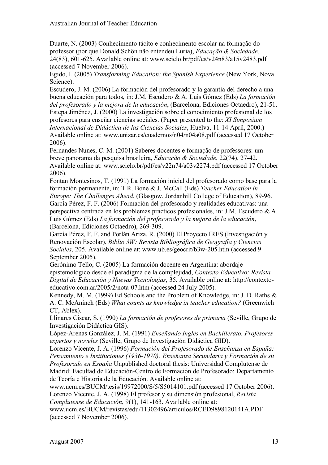Duarte, N. (2003) Conhecimento tácito e conhecimento escolar na formação do professor (por que Donald Schön não entendeu Luria), *Educação & Sociedade*, 24(83), 601-625. Available online at: www.scielo.br/pdf/es/v24n83/a15v2483.pdf (accessed 7 November 2006).

Egido, I. (2005) *Transforming Education: the Spanish Experience* (New York, Nova Science).

Escudero, J. M. (2006) La formación del profesorado y la garantía del derecho a una buena educación para todos, in: J.M. Escudero & A. Luis Gómez (Eds) *La formación del profesorado y la mejora de la educación*, (Barcelona, Ediciones Octaedro), 21-51. Estepa Jiménez, J. (2000) La investigación sobre el conocimiento profesional de los profesores para enseñar ciencias sociales. (Paper presented to the: *XI Simposium Internacional de Didáctica de las Ciencias Sociales*, Huelva, 11-14 April, 2000.) Available online at: www.unizar.es/cuadernos/n04/n04a08.pdf (accessed 17 October 2006).

Fernandes Nunes, C. M. (2001) Saberes docentes e formação de professores: um breve panorama da pesquisa brasileira, *Educacão & Sociedade*, 22(74), 27-42. Available online at: www.scielo.br/pdf/es/v22n74/a03v2274.pdf (accessed 17 October 2006).

Fontan Montesinos, T. (1991) La formación inicial del profesorado como base para la formación permanente, in: T.R. Bone & J. McCall (Eds) *Teacher Education in Europe: The Challenges Ahead*, (Glasgow, Jordanhill College of Education), 89-96. García Pérez, F. F. (2006) Formación del profesorado y realidades educativas: una perspectiva centrada en los problemas prácticos profesionales, in: J.M. Escudero & A. Luis Gómez (Eds) *La formación del profesorado y la mejora de la educación*, (Barcelona, Ediciones Octaedro), 269-309.

García Pérez, F. F. and Porlán Ariza, R. (2000) El Proyecto IRES (Investigación y Renovación Escolar), *Biblio 3W: Revista Bibliográfica de Geografía y Ciencias Sociales*, 205. Available online at: www.ub.es/geocrit/b3w-205.htm (accessed 9 September 2005).

Gerónimo Tello, C. (2005) La formación docente en Argentina: abordaje epistemológico desde el paradigma de la complejidad, *Contexto Educativo: Revista Digital de Educación y Nuevas Tecnologías*, 35. Available online at: http://contextoeducativo.com.ar/2005/2/nota-07.htm (accessed 24 July 2005).

Kennedy, M. M. (1999) Ed Schools and the Problem of Knowledge, in: J. D. Raths & A. C. McAninch (Eds) *What counts as knowledge in teacher education?* (Greenwich CT, Ablex).

Llinares Ciscar, S. (1990) *La formación de profesores de primaria* (Seville, Grupo de Investigación Didáctica GIS).

López-Arenas González, J. M. (1991) *Enseñando Inglés en Bachillerato. Profesores expertos y noveles* (Seville, Grupo de Investigación Didáctica GID).

Lorenzo Vicente, J. A. (1996) *Formación del Profesorado de Enseñanza en España: Pensamiento e Instituciones (1936-1970): Enseñanza Secundaria y Formación de su Profesorado en España* Unpublished doctoral thesis: Universidad Complutense de Madrid: Facultad de Educación-Centro de Formación de Profesorado: Departamento de Teoría e Historia de la Educación. Available online at:

www.ucm.es/BUCM/tesis/19972000/S/5/S5014101.pdf (accessed 17 October 2006). Lorenzo Vicente, J. A. (1998) El profesor y su dimensión profesional, *Revista* 

*Complutense de Educación*, 9(1), 141-163. Available online at:

www.ucm.es/BUCM/revistas/edu/11302496/articulos/RCED9898120141A.PDF (accessed 7 November 2006).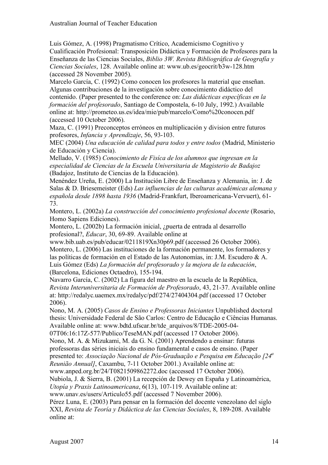Luis Gómez, A. (1998) Pragmatismo Crítico, Academicismo Cognitivo y Cualificación Profesional: Transposición Didáctica y Formación de Profesores para la Enseñanza de las Ciencias Sociales, *Biblio 3W. Revista Bibliográfica de Geografía y Ciencias Sociales*, 128. Available online at: www.ub.es/geocrit/b3w-128.htm (accessed 28 November 2005).

Marcelo García, C. (1992) Como conocen los profesores la material que enseñan. Algunas contribuciones de la investigación sobre conocimiento didáctico del contenido. (Paper presented to the conference on: *Las didácticas específicas en la formación del profesorado*, Santiago de Compostela, 6-10 July, 1992.) Available online at: http://prometeo.us.es/idea/mie/pub/marcelo/Como%20conocen.pdf (accessed 10 October 2006).

Maza, C. (1991) Preconceptos erróneos en multiplicación y division entre futuros profesores, *Infancia y Aprendizaje*, 56, 93-103.

MEC (2004) *Una educación de calidad para todos y entre todos* (Madrid, Ministerio de Educación y Ciencia).

Mellado, V. (1985) *Conocimiento de Fisíca de los alumnos que ingresan en la especialidad de Ciencias de la Escuela Universitaria de Magisterio de Badajoz* (Badajoz, Instituto de Ciencias de la Educación).

Menéndez Ureña, E. (2000) La Institución Libre de Enseñanza y Alemania, in: J. de Salas & D. Briesemeister (Eds) *Las influencias de las culturas académicas alemana y española desde 1898 hasta 1936* (Madrid-Frankfurt, Iberoamericana-Vervuert), 61- 73.

Montero, L. (2002a) *La construcción del conocimiento profesional docente* (Rosario, Homo Sapiens Ediciones).

Montero, L. (2002b) La formación inicial, ¿puerta de entrada al desarrollo profesional?, *Educar*, 30, 69-89. Available online at

www.bib.uab.es/pub/educar/0211819Xn30p69.pdf (accessed 26 October 2006). Montero, L. (2006) Las instituciones de la formación permanente, los formadores y las políticas de formación en el Estado de las Autonomías, in: J.M. Escudero & A. Luis Gómez (Eds) *La formación del profesorado y la mejora de la educación*, (Barcelona, Ediciones Octaedro), 155-194.

Navarro García, C. (2002) La figura del maestro en la escuela de la República, *Revista Interuniversitaria de Formación de Profesorado*, 43, 21-37. Available online at: http://redalyc.uaemex.mx/redalyc/pdf/274/27404304.pdf (accessed 17 October 2006).

Nono, M. A. (2005) *Casos de Ensino e Professoras Iniciantes* Unpublished doctoral thesis: Universidade Federal de São Carlos: Centro de Educação e Ciências Humanas. Available online at: www.bdtd.ufscar.br/tde\_arquivos/8/TDE-2005-04-

07T06:16:17Z-577/Publico/TeseMAN.pdf (accessed 17 October 2006).

Nono, M. A. & Mizukami, M. da G. N. (2001) Aprendendo a ensinar: futuras professoras das séries iniciais do ensino fundamental e casos de ensino. (Paper

presented to: *Associação Nacional de Pós-Graduação e Pesquisa em Educação [24a*

*Reunião Annual]*, Caxambu, 7-11 October 2001.) Available online at:

www.anped.org.br/24/T0821509862272.doc (accessed 17 October 2006).

Nubiola, J. & Sierra, B. (2001) La recepción de Dewey en España y Latinoamérica, *Utopía y Praxis Latinoamericana*, 6(13), 107-119. Available online at:

www.unav.es/users/Articulo55.pdf (accessed 7 November 2006).

Pérez Luna, E. (2003) Para pensar en la formación del docente venezolano del siglo XXI, *Revista de Teoría y Didáctica de las Ciencias Sociales*, 8, 189-208. Available online at: